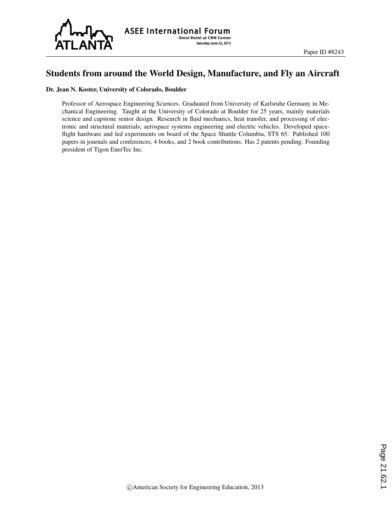

## Students from around the World Design, Manufacture, and Fly an Aircraft

#### Dr. Jean N. Koster, University of Colorado, Boulder

Professor of Aerospace Engineering Sciences. Graduated from University of Karlsruhe Germany in Mechanical Engineering. Taught at the University of Colorado at Boulder for 25 years, mainly materials science and capstone senior design. Research in fluid mechanics, heat transfer, and processing of electronic and structural materials; aerospace systems engineering and electric vehicles. Developed spaceflight hardware and led experiments on board of the Space Shuttle Columbia, STS 65. Published 100 papers in journals and conferences, 4 books, and 2 book contributions. Has 2 patents pending. Founding president of Tigon EnerTec Inc.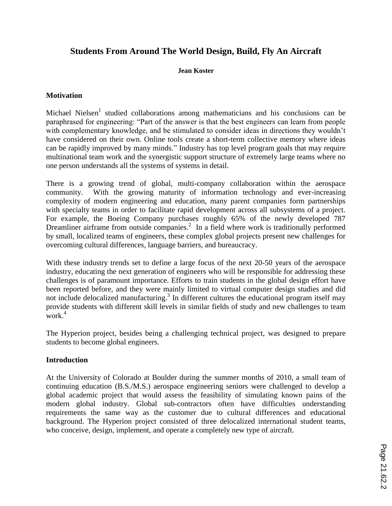# **Students From Around The World Design, Build, Fly An Aircraft**

#### **Jean Koster**

### **Motivation**

Michael Nielsen<sup>1</sup> studied collaborations among mathematicians and his conclusions can be paraphrased for engineering: "Part of the answer is that the best engineers can learn from people with complementary knowledge, and be stimulated to consider ideas in directions they wouldn't have considered on their own. Online tools create a short-term collective memory where ideas can be rapidly improved by many minds." Industry has top level program goals that may require multinational team work and the synergistic support structure of extremely large teams where no one person understands all the systems of systems in detail.

There is a growing trend of global, multi-company collaboration within the aerospace community. With the growing maturity of information technology and ever-increasing complexity of modern engineering and education, many parent companies form partnerships with specialty teams in order to facilitate rapid development across all subsystems of a project. For example, the Boeing Company purchases roughly 65% of the newly developed 787 Dreamliner airframe from outside companies.<sup>2</sup> In a field where work is traditionally performed by small, localized teams of engineers, these complex global projects present new challenges for overcoming cultural differences, language barriers, and bureaucracy.

With these industry trends set to define a large focus of the next 20-50 years of the aerospace industry, educating the next generation of engineers who will be responsible for addressing these challenges is of paramount importance. Efforts to train students in the global design effort have been reported before, and they were mainly limited to virtual computer design studies and did not include delocalized manufacturing.<sup>3</sup> In different cultures the educational program itself may provide students with different skill levels in similar fields of study and new challenges to team work. 4

The Hyperion project, besides being a challenging technical project, was designed to prepare students to become global engineers.

### **Introduction**

At the University of Colorado at Boulder during the summer months of 2010, a small team of continuing education (B.S./M.S.) aerospace engineering seniors were challenged to develop a global academic project that would assess the feasibility of simulating known pains of the modern global industry. Global sub-contractors often have difficulties understanding requirements the same way as the customer due to cultural differences and educational background. The Hyperion project consisted of three delocalized international student teams, who conceive, design, implement, and operate a completely new type of aircraft.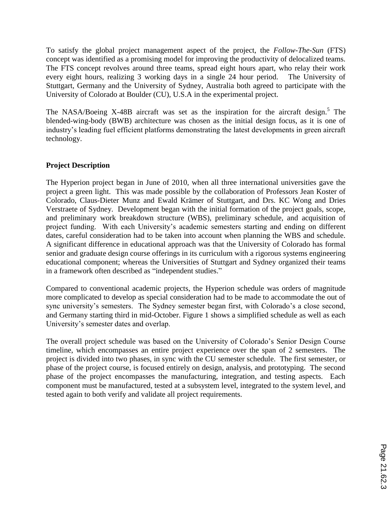To satisfy the global project management aspect of the project, the *Follow-The-Sun* (FTS) concept was identified as a promising model for improving the productivity of delocalized teams. The FTS concept revolves around three teams, spread eight hours apart, who relay their work every eight hours, realizing 3 working days in a single 24 hour period. The University of Stuttgart, Germany and the University of Sydney, Australia both agreed to participate with the University of Colorado at Boulder (CU), U.S.A in the experimental project.

The NASA/Boeing X-48B aircraft was set as the inspiration for the aircraft design.<sup>5</sup> The blended-wing-body (BWB) architecture was chosen as the initial design focus, as it is one of industry's leading fuel efficient platforms demonstrating the latest developments in green aircraft technology.

### **Project Description**

The Hyperion project began in June of 2010, when all three international universities gave the project a green light. This was made possible by the collaboration of Professors Jean Koster of Colorado, Claus-Dieter Munz and Ewald Krämer of Stuttgart, and Drs. KC Wong and Dries Verstraete of Sydney. Development began with the initial formation of the project goals, scope, and preliminary work breakdown structure (WBS), preliminary schedule, and acquisition of project funding. With each University's academic semesters starting and ending on different dates, careful consideration had to be taken into account when planning the WBS and schedule. A significant difference in educational approach was that the University of Colorado has formal senior and graduate design course offerings in its curriculum with a rigorous systems engineering educational component; whereas the Universities of Stuttgart and Sydney organized their teams in a framework often described as "independent studies."

Compared to conventional academic projects, the Hyperion schedule was orders of magnitude more complicated to develop as special consideration had to be made to accommodate the out of sync university's semesters. The Sydney semester began first, with Colorado's a close second, and Germany starting third in mid-October. Figure 1 shows a simplified schedule as well as each University's semester dates and overlap.

The overall project schedule was based on the University of Colorado's Senior Design Course timeline, which encompasses an entire project experience over the span of 2 semesters. The project is divided into two phases, in sync with the CU semester schedule. The first semester, or phase of the project course, is focused entirely on design, analysis, and prototyping. The second phase of the project encompasses the manufacturing, integration, and testing aspects. Each component must be manufactured, tested at a subsystem level, integrated to the system level, and tested again to both verify and validate all project requirements.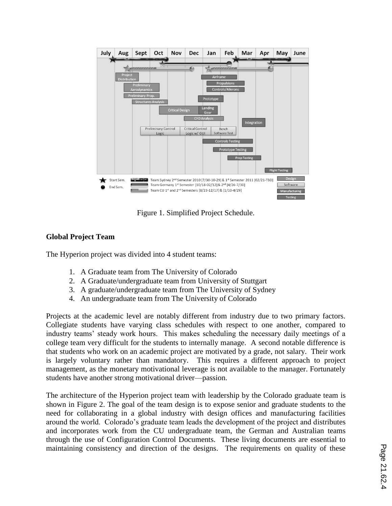

Figure 1. Simplified Project Schedule.

## **Global Project Team**

The Hyperion project was divided into 4 student teams:

- 1. A Graduate team from The University of Colorado
- 2. A Graduate/undergraduate team from University of Stuttgart
- 3. A graduate/undergraduate team from The University of Sydney
- 4. An undergraduate team from The University of Colorado

Projects at the academic level are notably different from industry due to two primary factors. Collegiate students have varying class schedules with respect to one another, compared to industry teams' steady work hours. This makes scheduling the necessary daily meetings of a college team very difficult for the students to internally manage. A second notable difference is that students who work on an academic project are motivated by a grade, not salary. Their work is largely voluntary rather than mandatory. This requires a different approach to project management, as the monetary motivational leverage is not available to the manager. Fortunately students have another strong motivational driver—passion.

The architecture of the Hyperion project team with leadership by the Colorado graduate team is shown in Figure 2. The goal of the team design is to expose senior and graduate students to the need for collaborating in a global industry with design offices and manufacturing facilities around the world. Colorado's graduate team leads the development of the project and distributes and incorporates work from the CU undergraduate team, the German and Australian teams through the use of Configuration Control Documents. These living documents are essential to maintaining consistency and direction of the designs. The requirements on quality of these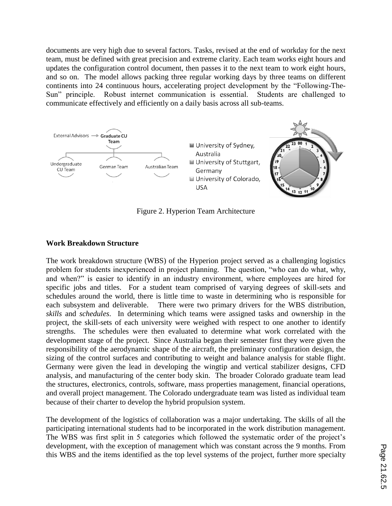documents are very high due to several factors. Tasks, revised at the end of workday for the next team, must be defined with great precision and extreme clarity. Each team works eight hours and updates the configuration control document, then passes it to the next team to work eight hours, and so on. The model allows packing three regular working days by three teams on different continents into 24 continuous hours, accelerating project development by the "Following-The-Sun" principle. Robust internet communication is essential. Students are challenged to communicate effectively and efficiently on a daily basis across all sub-teams.



Figure 2. Hyperion Team Architecture

### **Work Breakdown Structure**

The work breakdown structure (WBS) of the Hyperion project served as a challenging logistics problem for students inexperienced in project planning. The question, "who can do what, why, and when?" is easier to identify in an industry environment, where employees are hired for specific jobs and titles. For a student team comprised of varying degrees of skill-sets and schedules around the world, there is little time to waste in determining who is responsible for each subsystem and deliverable. There were two primary drivers for the WBS distribution, *skills* and *schedules*. In determining which teams were assigned tasks and ownership in the project, the skill-sets of each university were weighed with respect to one another to identify strengths. The schedules were then evaluated to determine what work correlated with the development stage of the project. Since Australia began their semester first they were given the responsibility of the aerodynamic shape of the aircraft, the preliminary configuration design, the sizing of the control surfaces and contributing to weight and balance analysis for stable flight. Germany were given the lead in developing the wingtip and vertical stabilizer designs, CFD analysis, and manufacturing of the center body skin. The broader Colorado graduate team lead the structures, electronics, controls, software, mass properties management, financial operations, and overall project management. The Colorado undergraduate team was listed as individual team because of their charter to develop the hybrid propulsion system.

The development of the logistics of collaboration was a major undertaking. The skills of all the participating international students had to be incorporated in the work distribution management. The WBS was first split in 5 categories which followed the systematic order of the project's development, with the exception of management which was constant across the 9 months. From this WBS and the items identified as the top level systems of the project, further more specialty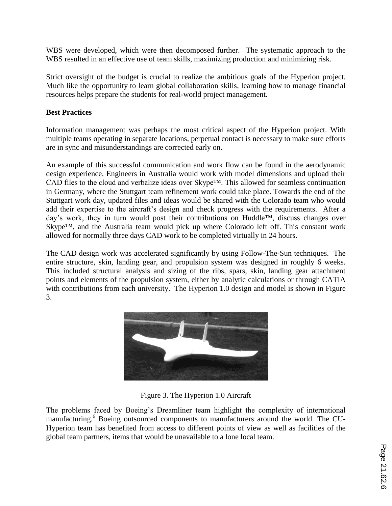WBS were developed, which were then decomposed further. The systematic approach to the WBS resulted in an effective use of team skills, maximizing production and minimizing risk.

Strict oversight of the budget is crucial to realize the ambitious goals of the Hyperion project. Much like the opportunity to learn global collaboration skills, learning how to manage financial resources helps prepare the students for real-world project management.

### **Best Practices**

Information management was perhaps the most critical aspect of the Hyperion project. With multiple teams operating in separate locations, perpetual contact is necessary to make sure efforts are in sync and misunderstandings are corrected early on.

An example of this successful communication and work flow can be found in the aerodynamic design experience. Engineers in Australia would work with model dimensions and upload their CAD files to the cloud and verbalize ideas over Skype™. This allowed for seamless continuation in Germany, where the Stuttgart team refinement work could take place. Towards the end of the Stuttgart work day, updated files and ideas would be shared with the Colorado team who would add their expertise to the aircraft's design and check progress with the requirements. After a day's work, they in turn would post their contributions on Huddle™, discuss changes over Skype™, and the Australia team would pick up where Colorado left off. This constant work allowed for normally three days CAD work to be completed virtually in 24 hours.

The CAD design work was accelerated significantly by using Follow-The-Sun techniques. The entire structure, skin, landing gear, and propulsion system was designed in roughly 6 weeks. This included structural analysis and sizing of the ribs, spars, skin, landing gear attachment points and elements of the propulsion system, either by analytic calculations or through CATIA with contributions from each university. The Hyperion 1.0 design and model is shown in Figure 3.



Figure 3. The Hyperion 1.0 Aircraft

The problems faced by Boeing's Dreamliner team highlight the complexity of international manufacturing. <sup>6</sup> Boeing outsourced components to manufacturers around the world. The CU-Hyperion team has benefited from access to different points of view as well as facilities of the global team partners, items that would be unavailable to a lone local team.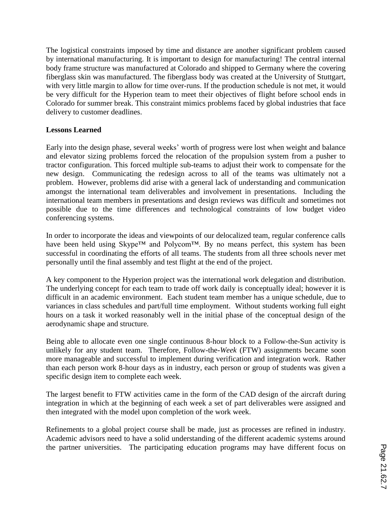The logistical constraints imposed by time and distance are another significant problem caused by international manufacturing. It is important to design for manufacturing! The central internal body frame structure was manufactured at Colorado and shipped to Germany where the covering fiberglass skin was manufactured. The fiberglass body was created at the University of Stuttgart, with very little margin to allow for time over-runs. If the production schedule is not met, it would be very difficult for the Hyperion team to meet their objectives of flight before school ends in Colorado for summer break. This constraint mimics problems faced by global industries that face delivery to customer deadlines.

### **Lessons Learned**

Early into the design phase, several weeks' worth of progress were lost when weight and balance and elevator sizing problems forced the relocation of the propulsion system from a pusher to tractor configuration. This forced multiple sub-teams to adjust their work to compensate for the new design. Communicating the redesign across to all of the teams was ultimately not a problem. However, problems did arise with a general lack of understanding and communication amongst the international team deliverables and involvement in presentations. Including the international team members in presentations and design reviews was difficult and sometimes not possible due to the time differences and technological constraints of low budget video conferencing systems.

In order to incorporate the ideas and viewpoints of our delocalized team, regular conference calls have been held using Skype™ and Polycom™. By no means perfect, this system has been successful in coordinating the efforts of all teams. The students from all three schools never met personally until the final assembly and test flight at the end of the project.

A key component to the Hyperion project was the international work delegation and distribution. The underlying concept for each team to trade off work daily is conceptually ideal; however it is difficult in an academic environment. Each student team member has a unique schedule, due to variances in class schedules and part/full time employment. Without students working full eight hours on a task it worked reasonably well in the initial phase of the conceptual design of the aerodynamic shape and structure.

Being able to allocate even one single continuous 8-hour block to a Follow-the-Sun activity is unlikely for any student team. Therefore, Follow-the-*Week* (FTW) assignments became soon more manageable and successful to implement during verification and integration work. Rather than each person work 8-hour days as in industry, each person or group of students was given a specific design item to complete each week.

The largest benefit to FTW activities came in the form of the CAD design of the aircraft during integration in which at the beginning of each week a set of part deliverables were assigned and then integrated with the model upon completion of the work week.

Refinements to a global project course shall be made, just as processes are refined in industry. Academic advisors need to have a solid understanding of the different academic systems around the partner universities. The participating education programs may have different focus on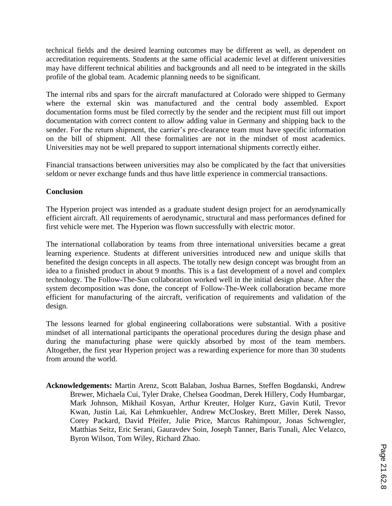technical fields and the desired learning outcomes may be different as well, as dependent on accreditation requirements. Students at the same official academic level at different universities may have different technical abilities and backgrounds and all need to be integrated in the skills profile of the global team. Academic planning needs to be significant.

The internal ribs and spars for the aircraft manufactured at Colorado were shipped to Germany where the external skin was manufactured and the central body assembled. Export documentation forms must be filed correctly by the sender and the recipient must fill out import documentation with correct content to allow adding value in Germany and shipping back to the sender. For the return shipment, the carrier's pre-clearance team must have specific information on the bill of shipment. All these formalities are not in the mindset of most academics. Universities may not be well prepared to support international shipments correctly either.

Financial transactions between universities may also be complicated by the fact that universities seldom or never exchange funds and thus have little experience in commercial transactions.

### **Conclusion**

The Hyperion project was intended as a graduate student design project for an aerodynamically efficient aircraft. All requirements of aerodynamic, structural and mass performances defined for first vehicle were met. The Hyperion was flown successfully with electric motor.

The international collaboration by teams from three international universities became a great learning experience. Students at different universities introduced new and unique skills that benefited the design concepts in all aspects. The totally new design concept was brought from an idea to a finished product in about 9 months. This is a fast development of a novel and complex technology. The Follow-The-Sun collaboration worked well in the initial design phase. After the system decomposition was done, the concept of Follow-The-Week collaboration became more efficient for manufacturing of the aircraft, verification of requirements and validation of the design.

The lessons learned for global engineering collaborations were substantial. With a positive mindset of all international participants the operational procedures during the design phase and during the manufacturing phase were quickly absorbed by most of the team members. Altogether, the first year Hyperion project was a rewarding experience for more than 30 students from around the world.

**Acknowledgements:** Martin Arenz, Scott Balaban, Joshua Barnes, Steffen Bogdanski, Andrew Brewer, Michaela Cui, Tyler Drake, Chelsea Goodman, Derek Hillery, Cody Humbargar, Mark Johnson, Mikhail Kosyan, Arthur Kreuter, Holger Kurz, Gavin Kutil, Trevor Kwan, Justin Lai, Kai Lehmkuehler, Andrew McCloskey, Brett Miller, Derek Nasso, Corey Packard, David Pfeifer, Julie Price, Marcus Rahimpour, Jonas Schwengler, Matthias Seitz, Eric Serani, Gauravdev Soin, Joseph Tanner, Baris Tunali, Alec Velazco, Byron Wilson, Tom Wiley, Richard Zhao.